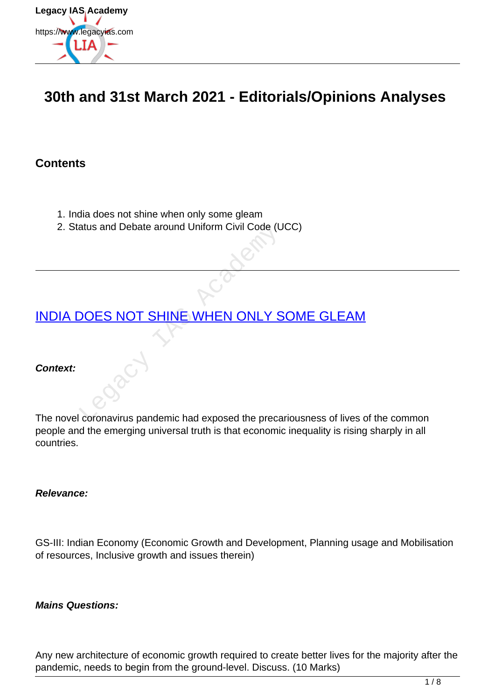

# **30th and 31st March 2021 - Editorials/Opinions Analyses**

### **Contents**

- 1. India does not shine when only some gleam
- 2. Status and Debate around Uniform Civil Code (UCC)

# [INDIA DOES NOT SHINE WHEN ONLY SOME GLEAM](https://www.legacyias.com/india-does-not-shine-when-only-some-gleam/) atus and Debate around Uniform Civil Code (U<br>
DOES NOT SHINE WHEN ONLY S<br>
Coronavirus pandemic had exposed the preca

#### **Context:**

The novel coronavirus pandemic had exposed the precariousness of lives of the common people and the emerging universal truth is that economic inequality is rising sharply in all countries.

#### **Relevance:**

GS-III: Indian Economy (Economic Growth and Development, Planning usage and Mobilisation of resources, Inclusive growth and issues therein)

#### **Mains Questions:**

Any new architecture of economic growth required to create better lives for the majority after the pandemic, needs to begin from the ground-level. Discuss. (10 Marks)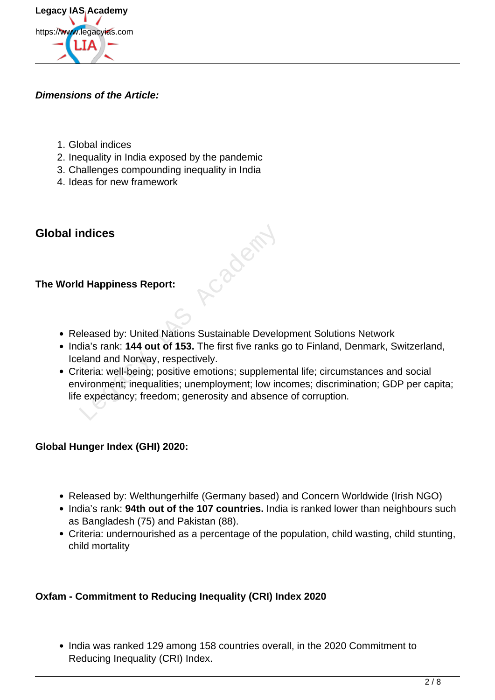

#### **Dimensions of the Article:**

- 1. Global indices
- 2. Inequality in India exposed by the pandemic
- 3. Challenges compounding inequality in India
- 4. Ideas for new framework

## **Global indices**

#### **The World Happiness Report:**

Released by: United Nations Sustainable Development Solutions Network

Cacia Academy

- India's rank: **144 out of 153.** The first five ranks go to Finland, Denmark, Switzerland, Iceland and Norway, respectively.
- Criteria: well-being; positive emotions; supplemental life; circumstances and social environment; inequalities; unemployment; low incomes; discrimination; GDP per capita; life expectancy; freedom; generosity and absence of corruption.

#### **Global Hunger Index (GHI) 2020:**

- Released by: Welthungerhilfe (Germany based) and Concern Worldwide (Irish NGO)
- India's rank: 94th out of the 107 countries. India is ranked lower than neighbours such as Bangladesh (75) and Pakistan (88).
- Criteria: undernourished as a percentage of the population, child wasting, child stunting, child mortality

#### **Oxfam - Commitment to Reducing Inequality (CRI) Index 2020**

• India was ranked 129 among 158 countries overall, in the 2020 Commitment to Reducing Inequality (CRI) Index.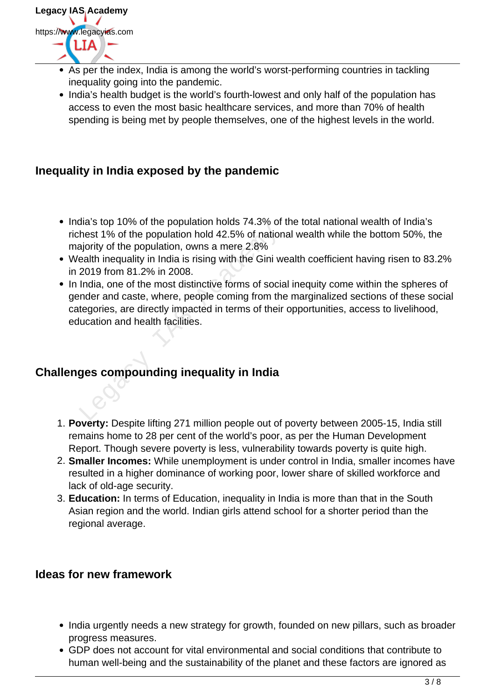

- As per the index, India is among the world's worst-performing countries in tackling inequality going into the pandemic.
- India's health budget is the world's fourth-lowest and only half of the population has access to even the most basic healthcare services, and more than 70% of health spending is being met by people themselves, one of the highest levels in the world.

## **Inequality in India exposed by the pandemic**

- India's top 10% of the population holds 74.3% of the total national wealth of India's richest 1% of the population hold 42.5% of national wealth while the bottom 50%, the majority of the population, owns a mere 2.8%
- Wealth inequality in India is rising with the Gini wealth coefficient having risen to 83.2% in 2019 from 81.2% in 2008.
- In India, one of the most distinctive forms of social inequity come within the spheres of gender and caste, where, people coming from the marginalized sections of these social categories, are directly impacted in terms of their opportunities, access to livelihood, education and health facilities. hest 1% of the population hold 42.5% of nation<br>ajority of the population, owns a mere 2.8%<br>ealth inequality in India is rising with the Gini w<br>2019 from 81.2% in 2008.<br>India, one of the most distinctive forms of social<br>ind

## **Challenges compounding inequality in India**

- 1. **Poverty:** Despite lifting 271 million people out of poverty between 2005-15, India still remains home to 28 per cent of the world's poor, as per the Human Development Report. Though severe poverty is less, vulnerability towards poverty is quite high.
- 2. **Smaller Incomes:** While unemployment is under control in India, smaller incomes have resulted in a higher dominance of working poor, lower share of skilled workforce and lack of old-age security.
- 3. **Education:** In terms of Education, inequality in India is more than that in the South Asian region and the world. Indian girls attend school for a shorter period than the regional average.

## **Ideas for new framework**

- India urgently needs a new strategy for growth, founded on new pillars, such as broader progress measures.
- GDP does not account for vital environmental and social conditions that contribute to human well-being and the sustainability of the planet and these factors are ignored as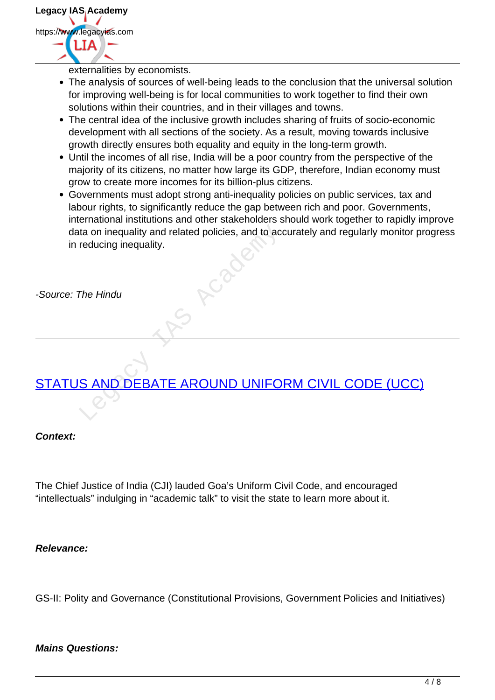

externalities by economists.

- The analysis of sources of well-being leads to the conclusion that the universal solution for improving well-being is for local communities to work together to find their own solutions within their countries, and in their villages and towns.
- The central idea of the inclusive growth includes sharing of fruits of socio-economic development with all sections of the society. As a result, moving towards inclusive growth directly ensures both equality and equity in the long-term growth.
- Until the incomes of all rise, India will be a poor country from the perspective of the majority of its citizens, no matter how large its GDP, therefore, Indian economy must grow to create more incomes for its billion-plus citizens.
- Governments must adopt strong anti-inequality policies on public services, tax and labour rights, to significantly reduce the gap between rich and poor. Governments, international institutions and other stakeholders should work together to rapidly improve data on inequality and related policies, and to accurately and regularly monitor progress in reducing inequality. ta on inequality and related policies, and to accreducing inequality.

-Source: The Hindu

## STATUS AND DEBATE AROUND UNIFORM CIVIL CODE (UCC)

#### **Context:**

The Chief Justice of India (CJI) lauded Goa's Uniform Civil Code, and encouraged "intellectuals" indulging in "academic talk" to visit the state to learn more about it.

#### **Relevance:**

GS-II: Polity and Governance (Constitutional Provisions, Government Policies and Initiatives)

#### **Mains Questions:**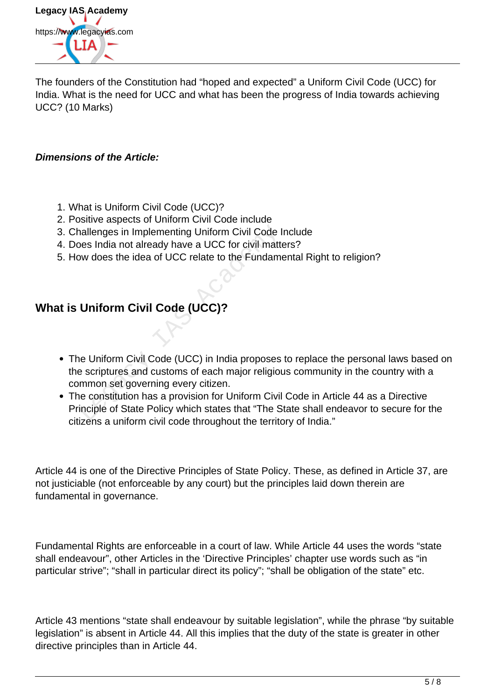

The founders of the Constitution had "hoped and expected" a Uniform Civil Code (UCC) for India. What is the need for UCC and what has been the progress of India towards achieving UCC? (10 Marks)

#### **Dimensions of the Article:**

- 1. What is Uniform Civil Code (UCC)?
- 2. Positive aspects of Uniform Civil Code include
- 3. Challenges in Implementing Uniform Civil Code Include
- 4. Does India not already have a UCC for civil matters?
- 5. How does the idea of UCC relate to the Fundamental Right to religion?

## **What is Uniform Civil Code (UCC)?**

- The Uniform Civil Code (UCC) in India proposes to replace the personal laws based on the scriptures and customs of each major religious community in the country with a common set governing every citizen. nallenges in Implementing Uniform Civil Code I<br>Jose India not already have a UCC for civil matter<br>we does the idea of UCC relate to the Fundamental<br>Multior Civil Code (UCC)?<br>Duiform Civil Code (UCC) in India proposes<br>a scr
- The constitution has a provision for Uniform Civil Code in Article 44 as a Directive Principle of State Policy which states that "The State shall endeavor to secure for the citizens a uniform civil code throughout the territory of India."

Article 44 is one of the Directive Principles of State Policy. These, as defined in Article 37, are not justiciable (not enforceable by any court) but the principles laid down therein are fundamental in governance.

Fundamental Rights are enforceable in a court of law. While Article 44 uses the words "state shall endeavour", other Articles in the 'Directive Principles' chapter use words such as "in particular strive"; "shall in particular direct its policy"; "shall be obligation of the state" etc.

Article 43 mentions "state shall endeavour by suitable legislation", while the phrase "by suitable legislation" is absent in Article 44. All this implies that the duty of the state is greater in other directive principles than in Article 44.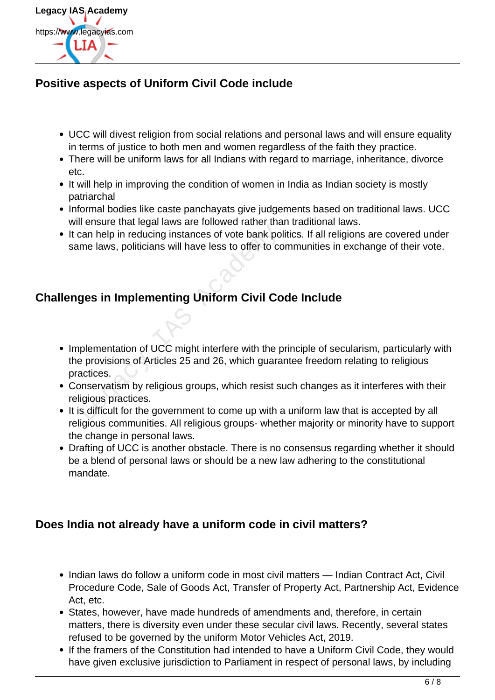

## **Positive aspects of Uniform Civil Code include**

- UCC will divest religion from social relations and personal laws and will ensure equality in terms of justice to both men and women regardless of the faith they practice.
- There will be uniform laws for all Indians with regard to marriage, inheritance, divorce etc.
- It will help in improving the condition of women in India as Indian society is mostly patriarchal
- Informal bodies like caste panchayats give judgements based on traditional laws. UCC will ensure that legal laws are followed rather than traditional laws.
- It can help in reducing instances of vote bank politics. If all religions are covered under same laws, politicians will have less to offer to communities in exchange of their vote.

## **Challenges in Implementing Uniform Civil Code Include**

- Implementation of UCC might interfere with the principle of secularism, particularly with the provisions of Articles 25 and 26, which guarantee freedom relating to religious practices. Can help in reducing instances of vote bank po<br>
me laws, politicians will have less to offer to come laws, politicians will have less to offer to come<br> **ges in Implementing Uniform Civil Comediation**<br>
plementation of UCC m
- Conservatism by religious groups, which resist such changes as it interferes with their religious practices.
- It is difficult for the government to come up with a uniform law that is accepted by all religious communities. All religious groups- whether majority or minority have to support the change in personal laws.
- Drafting of UCC is another obstacle. There is no consensus regarding whether it should be a blend of personal laws or should be a new law adhering to the constitutional mandate.

## **Does India not already have a uniform code in civil matters?**

- Indian laws do follow a uniform code in most civil matters Indian Contract Act, Civil Procedure Code, Sale of Goods Act, Transfer of Property Act, Partnership Act, Evidence Act, etc.
- States, however, have made hundreds of amendments and, therefore, in certain matters, there is diversity even under these secular civil laws. Recently, several states refused to be governed by the uniform Motor Vehicles Act, 2019.
- If the framers of the Constitution had intended to have a Uniform Civil Code, they would have given exclusive jurisdiction to Parliament in respect of personal laws, by including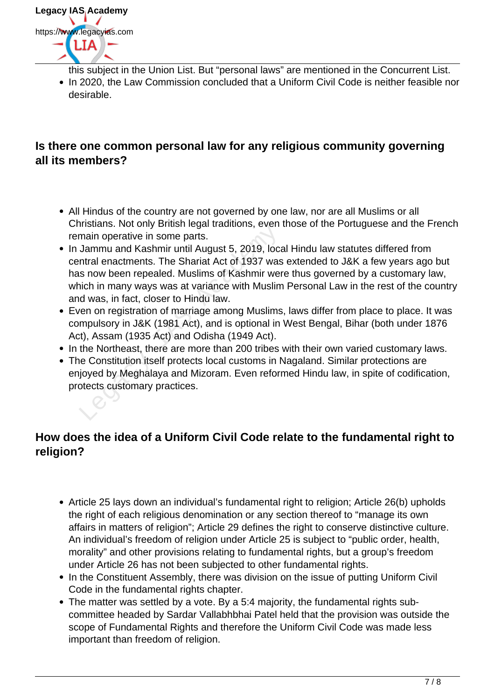

- this subject in the Union List. But "personal laws" are mentioned in the Concurrent List.
- In 2020, the Law Commission concluded that a Uniform Civil Code is neither feasible nor desirable.

## **Is there one common personal law for any religious community governing all its members?**

- All Hindus of the country are not governed by one law, nor are all Muslims or all Christians. Not only British legal traditions, even those of the Portuguese and the French remain operative in some parts.
- In Jammu and Kashmir until August 5, 2019, local Hindu law statutes differed from central enactments. The Shariat Act of 1937 was extended to J&K a few years ago but has now been repealed. Muslims of Kashmir were thus governed by a customary law, which in many ways was at variance with Muslim Personal Law in the rest of the country and was, in fact, closer to Hindu law. main operative in some parts.<br>Jammu and Kashmir until August 5, 2019, locatrial enactments. The Shariat Act of 1937 was<br>s now been repealed. Muslims of Kashmir were inch in many ways was at variance with Muslim<br>d was, in f
- Even on registration of marriage among Muslims, laws differ from place to place. It was compulsory in J&K (1981 Act), and is optional in West Bengal, Bihar (both under 1876 Act), Assam (1935 Act) and Odisha (1949 Act).
- In the Northeast, there are more than 200 tribes with their own varied customary laws.
- The Constitution itself protects local customs in Nagaland. Similar protections are enjoyed by Meghalaya and Mizoram. Even reformed Hindu law, in spite of codification, protects customary practices.

## **How does the idea of a Uniform Civil Code relate to the fundamental right to religion?**

- Article 25 lays down an individual's fundamental right to religion; Article 26(b) upholds the right of each religious denomination or any section thereof to "manage its own affairs in matters of religion"; Article 29 defines the right to conserve distinctive culture. An individual's freedom of religion under Article 25 is subject to "public order, health, morality" and other provisions relating to fundamental rights, but a group's freedom under Article 26 has not been subjected to other fundamental rights.
- In the Constituent Assembly, there was division on the issue of putting Uniform Civil Code in the fundamental rights chapter.
- The matter was settled by a vote. By a 5:4 majority, the fundamental rights subcommittee headed by Sardar Vallabhbhai Patel held that the provision was outside the scope of Fundamental Rights and therefore the Uniform Civil Code was made less important than freedom of religion.